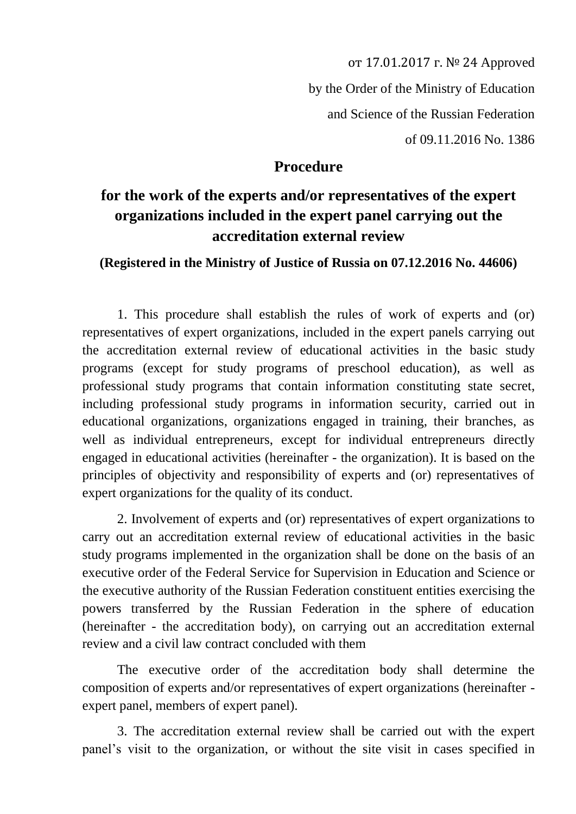от 17.01.2017 г. № 24 Approved by the Order of the Ministry of Education and Science of the Russian Federation of 09.11.2016 No. 1386

## **Procedure**

## **for the work of the experts and/or representatives of the expert organizations included in the expert panel carrying out the accreditation external review**

## **(Registered in the Ministry of Justice of Russia on 07.12.2016 No. 44606)**

1. This procedure shall establish the rules of work of experts and (or) representatives of expert organizations, included in the expert panels carrying out the accreditation external review of educational activities in the basic study programs (except for study programs of preschool education), as well as professional study programs that contain information constituting state secret, including professional study programs in information security, carried out in educational organizations, organizations engaged in training, their branches, as well as individual entrepreneurs, except for individual entrepreneurs directly engaged in educational activities (hereinafter - the organization). It is based on the principles of objectivity and responsibility of experts and (or) representatives of expert organizations for the quality of its conduct.

2. Involvement of experts and (or) representatives of expert organizations to carry out an accreditation external review of educational activities in the basic study programs implemented in the organization shall be done on the basis of an executive order of the Federal Service for Supervision in Education and Science or the executive authority of the Russian Federation constituent entities exercising the powers transferred by the Russian Federation in the sphere of education (hereinafter - the accreditation body), on carrying out an accreditation external review and a civil law contract concluded with them

The executive order of the accreditation body shall determine the composition of experts and/or representatives of expert organizations (hereinafter expert panel, members of expert panel).

3. The accreditation external review shall be carried out with the expert panel's visit to the organization, or without the site visit in cases specified in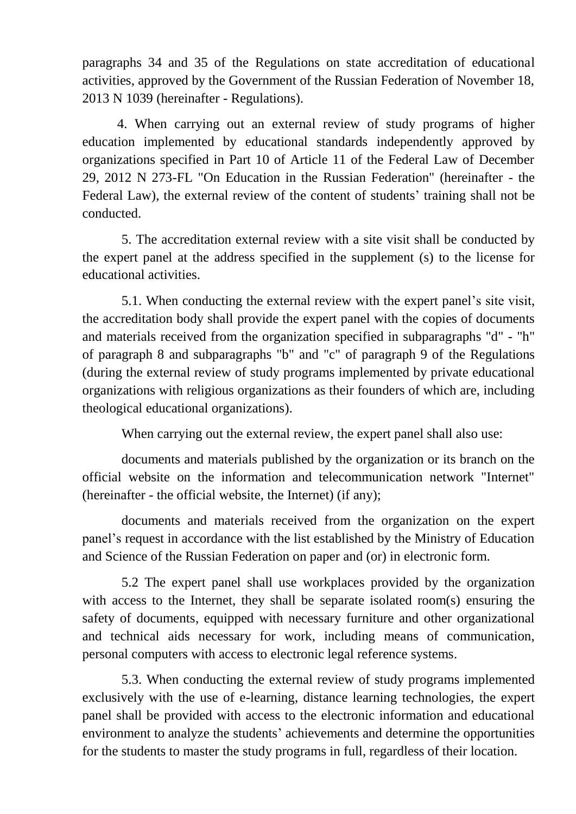paragraphs 34 and 35 of the Regulations on state accreditation of educational activities, approved by the Government of the Russian Federation of November 18, 2013 N 1039 (hereinafter - Regulations).

4. When carrying out an external review of study programs of higher education implemented by educational standards independently approved by organizations specified in Part 10 of Article 11 of the Federal Law of December 29, 2012 N 273-FL "On Education in the Russian Federation" (hereinafter - the Federal Law), the external review of the content of students' training shall not be conducted.

5. The accreditation external review with a site visit shall be conducted by the expert panel at the address specified in the supplement (s) to the license for educational activities.

5.1. When conducting the external review with the expert panel's site visit, the accreditation body shall provide the expert panel with the copies of documents and materials received from the organization specified in subparagraphs "d" - "h" of paragraph 8 and subparagraphs "b" and "c" of paragraph 9 of the Regulations (during the external review of study programs implemented by private educational organizations with religious organizations as their founders of which are, including theological educational organizations).

When carrying out the external review, the expert panel shall also use:

documents and materials published by the organization or its branch on the official website on the information and telecommunication network "Internet" (hereinafter - the official website, the Internet) (if any);

documents and materials received from the organization on the expert panel's request in accordance with the list established by the Ministry of Education and Science of the Russian Federation on paper and (or) in electronic form.

5.2 The expert panel shall use workplaces provided by the organization with access to the Internet, they shall be separate isolated room(s) ensuring the safety of documents, equipped with necessary furniture and other organizational and technical aids necessary for work, including means of communication, personal computers with access to electronic legal reference systems.

5.3. When conducting the external review of study programs implemented exclusively with the use of e-learning, distance learning technologies, the expert panel shall be provided with access to the electronic information and educational environment to analyze the students' achievements and determine the opportunities for the students to master the study programs in full, regardless of their location.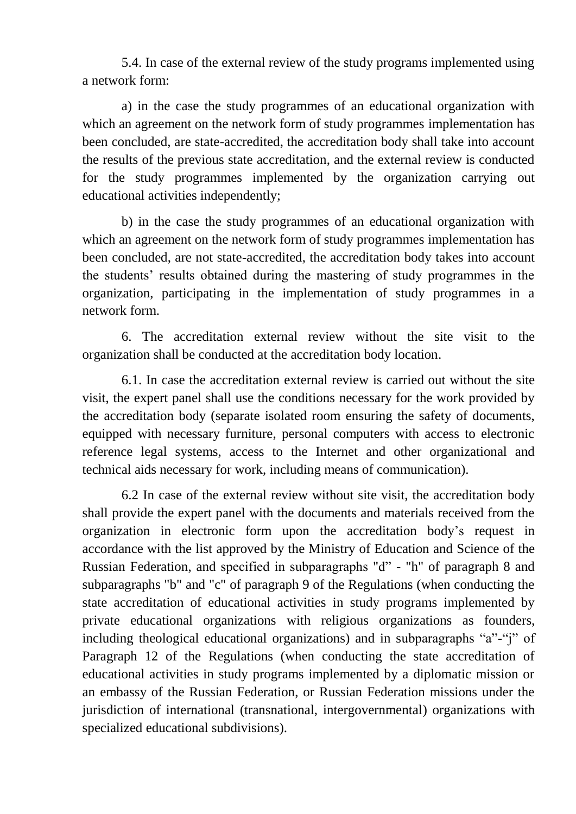5.4. In case of the external review of the study programs implemented using a network form:

a) in the case the study programmes of an educational organization with which an agreement on the network form of study programmes implementation has been concluded, are state-accredited, the accreditation body shall take into account the results of the previous state accreditation, and the external review is conducted for the study programmes implemented by the organization carrying out educational activities independently;

b) in the case the study programmes of an educational organization with which an agreement on the network form of study programmes implementation has been concluded, are not state-accredited, the accreditation body takes into account the students' results obtained during the mastering of study programmes in the organization, participating in the implementation of study programmes in a network form.

6. The accreditation external review without the site visit to the organization shall be conducted at the accreditation body location.

6.1. In case the accreditation external review is carried out without the site visit, the expert panel shall use the conditions necessary for the work provided by the accreditation body (separate isolated room ensuring the safety of documents, equipped with necessary furniture, personal computers with access to electronic reference legal systems, access to the Internet and other organizational and technical aids necessary for work, including means of communication).

6.2 In case of the external review without site visit, the accreditation body shall provide the expert panel with the documents and materials received from the organization in electronic form upon the accreditation body's request in accordance with the list approved by the Ministry of Education and Science of the Russian Federation, and specified in subparagraphs "d" - "h" of paragraph 8 and subparagraphs "b" and "c" of paragraph 9 of the Regulations (when conducting the state accreditation of educational activities in study programs implemented by private educational organizations with religious organizations as founders, including theological educational organizations) and in subparagraphs "a"-"j" of Paragraph 12 of the Regulations (when conducting the state accreditation of educational activities in study programs implemented by a diplomatic mission or an embassy of the Russian Federation, or Russian Federation missions under the jurisdiction of international (transnational, intergovernmental) organizations with specialized educational subdivisions).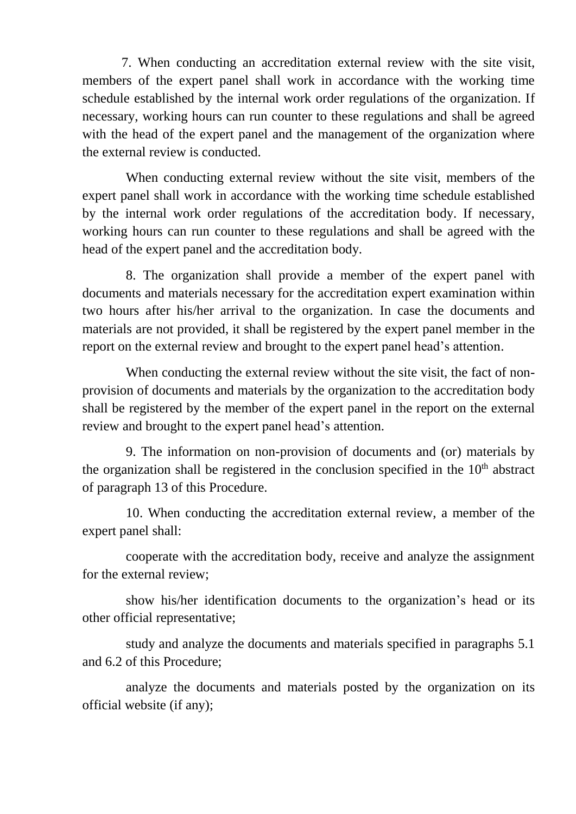7. When conducting an accreditation external review with the site visit, members of the expert panel shall work in accordance with the working time schedule established by the internal work order regulations of the organization. If necessary, working hours can run counter to these regulations and shall be agreed with the head of the expert panel and the management of the organization where the external review is conducted.

When conducting external review without the site visit, members of the expert panel shall work in accordance with the working time schedule established by the internal work order regulations of the accreditation body. If necessary, working hours can run counter to these regulations and shall be agreed with the head of the expert panel and the accreditation body.

8. The organization shall provide a member of the expert panel with documents and materials necessary for the accreditation expert examination within two hours after his/her arrival to the organization. In case the documents and materials are not provided, it shall be registered by the expert panel member in the report on the external review and brought to the expert panel head's attention.

When conducting the external review without the site visit, the fact of nonprovision of documents and materials by the organization to the accreditation body shall be registered by the member of the expert panel in the report on the external review and brought to the expert panel head's attention.

9. The information on non-provision of documents and (or) materials by the organization shall be registered in the conclusion specified in the  $10<sup>th</sup>$  abstract of paragraph 13 of this Procedure.

10. When conducting the accreditation external review, a member of the expert panel shall:

cooperate with the accreditation body, receive and analyze the assignment for the external review;

show his/her identification documents to the organization's head or its other official representative;

study and analyze the documents and materials specified in paragraphs 5.1 and 6.2 of this Procedure;

analyze the documents and materials posted by the organization on its official website (if any);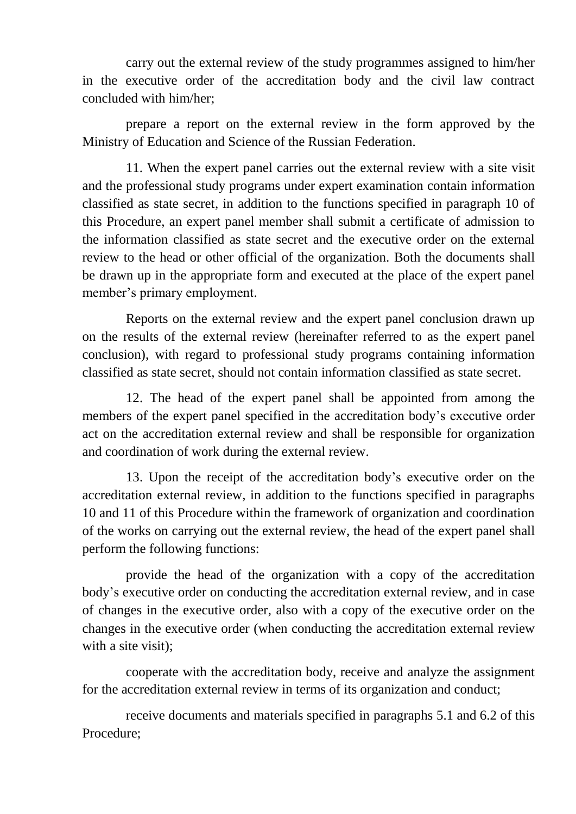carry out the external review of the study programmes assigned to him/her in the executive order of the accreditation body and the civil law contract concluded with him/her;

prepare a report on the external review in the form approved by the Ministry of Education and Science of the Russian Federation.

11. When the expert panel carries out the external review with a site visit and the professional study programs under expert examination contain information classified as state secret, in addition to the functions specified in paragraph 10 of this Procedure, an expert panel member shall submit a certificate of admission to the information classified as state secret and the executive order on the external review to the head or other official of the organization. Both the documents shall be drawn up in the appropriate form and executed at the place of the expert panel member's primary employment.

Reports on the external review and the expert panel conclusion drawn up on the results of the external review (hereinafter referred to as the expert panel conclusion), with regard to professional study programs containing information classified as state secret, should not contain information classified as state secret.

12. The head of the expert panel shall be appointed from among the members of the expert panel specified in the accreditation body's executive order act on the accreditation external review and shall be responsible for organization and coordination of work during the external review.

13. Upon the receipt of the accreditation body's executive order on the accreditation external review, in addition to the functions specified in paragraphs 10 and 11 of this Procedure within the framework of organization and coordination of the works on carrying out the external review, the head of the expert panel shall perform the following functions:

provide the head of the organization with a copy of the accreditation body's executive order on conducting the accreditation external review, and in case of changes in the executive order, also with a copy of the executive order on the changes in the executive order (when conducting the accreditation external review with a site visit):

cooperate with the accreditation body, receive and analyze the assignment for the accreditation external review in terms of its organization and conduct;

receive documents and materials specified in paragraphs 5.1 and 6.2 of this Procedure;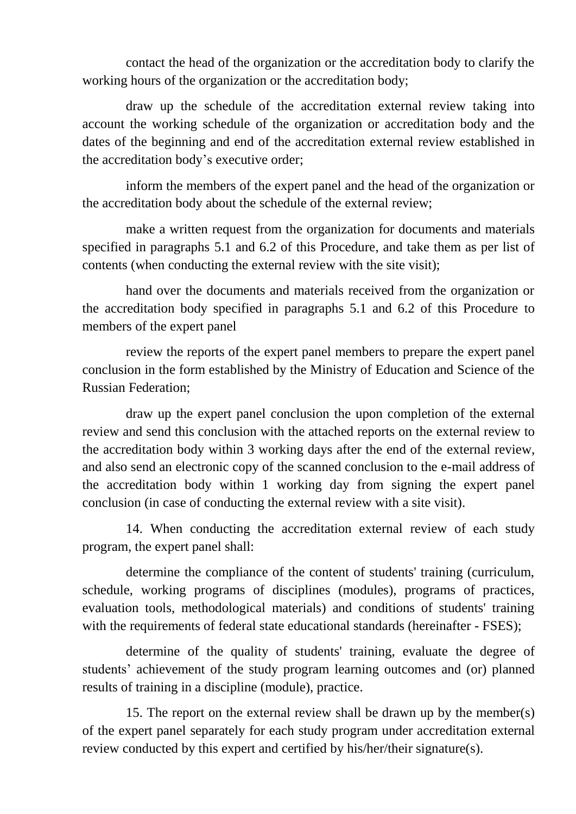contact the head of the organization or the accreditation body to clarify the working hours of the organization or the accreditation body;

draw up the schedule of the accreditation external review taking into account the working schedule of the organization or accreditation body and the dates of the beginning and end of the accreditation external review established in the accreditation body's executive order;

inform the members of the expert panel and the head of the organization or the accreditation body about the schedule of the external review;

make a written request from the organization for documents and materials specified in paragraphs 5.1 and 6.2 of this Procedure, and take them as per list of contents (when conducting the external review with the site visit);

hand over the documents and materials received from the organization or the accreditation body specified in paragraphs 5.1 and 6.2 of this Procedure to members of the expert panel

review the reports of the expert panel members to prepare the expert panel conclusion in the form established by the Ministry of Education and Science of the Russian Federation;

draw up the expert panel conclusion the upon completion of the external review and send this conclusion with the attached reports on the external review to the accreditation body within 3 working days after the end of the external review, and also send an electronic copy of the scanned conclusion to the e-mail address of the accreditation body within 1 working day from signing the expert panel conclusion (in case of conducting the external review with a site visit).

14. When conducting the accreditation external review of each study program, the expert panel shall:

determine the compliance of the content of students' training (curriculum, schedule, working programs of disciplines (modules), programs of practices, evaluation tools, methodological materials) and conditions of students' training with the requirements of federal state educational standards (hereinafter - FSES);

determine of the quality of students' training, evaluate the degree of students' achievement of the study program learning outcomes and (or) planned results of training in a discipline (module), practice.

15. The report on the external review shall be drawn up by the member(s) of the expert panel separately for each study program under accreditation external review conducted by this expert and certified by his/her/their signature(s).